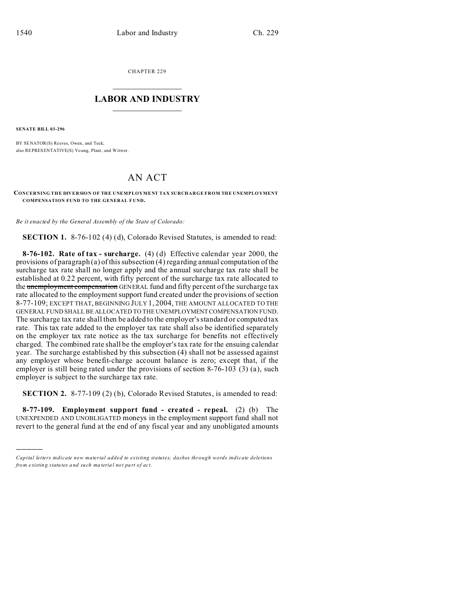CHAPTER 229  $\overline{\phantom{a}}$  , where  $\overline{\phantom{a}}$ 

## **LABOR AND INDUSTRY**  $\frac{1}{\sqrt{2}}$  ,  $\frac{1}{\sqrt{2}}$  ,  $\frac{1}{\sqrt{2}}$  ,  $\frac{1}{\sqrt{2}}$  ,  $\frac{1}{\sqrt{2}}$  ,  $\frac{1}{\sqrt{2}}$

**SENATE BILL 03-296**

)))))

BY SENATOR(S) Reeves, Owen, and Teck; also REPRESENTATIVE(S) Yo ung, Plant, and Witwer.

## AN ACT

**CONCERNING THE DIVERSION OF THE UNEMPLOYMENT TAX SURCHARGE FROM THE UNEMPLO YMENT COMPENSATION FUND TO THE GENERAL F UND.**

*Be it enacted by the General Assembly of the State of Colorado:*

**SECTION 1.** 8-76-102 (4) (d), Colorado Revised Statutes, is amended to read:

**8-76-102. Rate of tax - surcharge.** (4) (d) Effective calendar year 2000, the provisions of paragraph (a) of this subsection (4) regarding annual computation of the surcharge tax rate shall no longer apply and the annual surcharge tax rate shall be established at 0.22 percent, with fifty percent of the surcharge tax rate allocated to the unemployment compensation GENERAL fund and fifty percent of the surcharge tax rate allocated to the employment support fund created under the provisions of section 8-77-109; EXCEPT THAT, BEGINNING JULY 1, 2004, THE AMOUNT ALLOCATED TO THE GENERAL FUND SHALL BE ALLOCATED TO THE UNEMPLOYMENT COMPENSATION FUND. The surcharge tax rate shall then be added to the employer's standard or computed tax rate. This tax rate added to the employer tax rate shall also be identified separately on the employer tax rate notice as the tax surcharge for benefits not effectively charged. The combined rate shall be the employer's tax rate for the ensuing calendar year. The surcharge established by this subsection (4) shall not be assessed against any employer whose benefit-charge account balance is zero; except that, if the employer is still being rated under the provisions of section 8-76-103 (3) (a), such employer is subject to the surcharge tax rate.

**SECTION 2.** 8-77-109 (2) (b), Colorado Revised Statutes, is amended to read:

**8-77-109. Employment support fund - created - repeal.** (2) (b) The UNEXPENDED AND UNOBLIGATED moneys in the employment support fund shall not revert to the general fund at the end of any fiscal year and any unobligated amounts

*Capital letters indicate new material added to existing statutes; dashes through words indicate deletions from e xistin g statu tes a nd such ma teria l no t pa rt of ac t.*